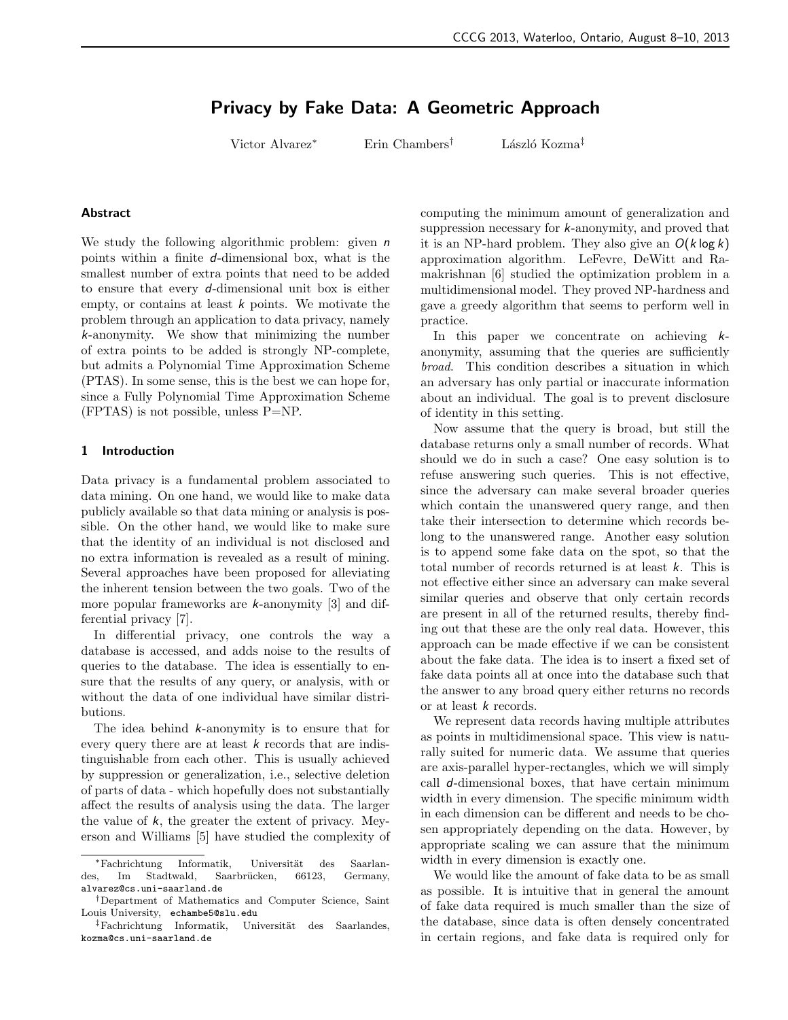# Privacy by Fake Data: A Geometric Approach

Victor Alvarez<sup>∗</sup> Erin Chambers<sup>†</sup> László Kozma<sup>‡</sup>

#### Abstract

We study the following algorithmic problem: given  $n$ points within a finite d-dimensional box, what is the smallest number of extra points that need to be added to ensure that every d-dimensional unit box is either empty, or contains at least  $k$  points. We motivate the problem through an application to data privacy, namely k-anonymity. We show that minimizing the number of extra points to be added is strongly NP-complete, but admits a Polynomial Time Approximation Scheme (PTAS). In some sense, this is the best we can hope for, since a Fully Polynomial Time Approximation Scheme (FPTAS) is not possible, unless P=NP.

## 1 Introduction

Data privacy is a fundamental problem associated to data mining. On one hand, we would like to make data publicly available so that data mining or analysis is possible. On the other hand, we would like to make sure that the identity of an individual is not disclosed and no extra information is revealed as a result of mining. Several approaches have been proposed for alleviating the inherent tension between the two goals. Two of the more popular frameworks are k-anonymity [3] and differential privacy [7].

In differential privacy, one controls the way a database is accessed, and adds noise to the results of queries to the database. The idea is essentially to ensure that the results of any query, or analysis, with or without the data of one individual have similar distributions.

The idea behind  $k$ -anonymity is to ensure that for every query there are at least  $k$  records that are indistinguishable from each other. This is usually achieved by suppression or generalization, i.e., selective deletion of parts of data - which hopefully does not substantially affect the results of analysis using the data. The larger the value of  $k$ , the greater the extent of privacy. Meyerson and Williams [5] have studied the complexity of computing the minimum amount of generalization and suppression necessary for k-anonymity, and proved that it is an NP-hard problem. They also give an  $O(k \log k)$ approximation algorithm. LeFevre, DeWitt and Ramakrishnan [6] studied the optimization problem in a multidimensional model. They proved NP-hardness and gave a greedy algorithm that seems to perform well in practice.

In this paper we concentrate on achieving  $k$ anonymity, assuming that the queries are sufficiently broad. This condition describes a situation in which an adversary has only partial or inaccurate information about an individual. The goal is to prevent disclosure of identity in this setting.

Now assume that the query is broad, but still the database returns only a small number of records. What should we do in such a case? One easy solution is to refuse answering such queries. This is not effective, since the adversary can make several broader queries which contain the unanswered query range, and then take their intersection to determine which records belong to the unanswered range. Another easy solution is to append some fake data on the spot, so that the total number of records returned is at least k. This is not effective either since an adversary can make several similar queries and observe that only certain records are present in all of the returned results, thereby finding out that these are the only real data. However, this approach can be made effective if we can be consistent about the fake data. The idea is to insert a fixed set of fake data points all at once into the database such that the answer to any broad query either returns no records or at least k records.

We represent data records having multiple attributes as points in multidimensional space. This view is naturally suited for numeric data. We assume that queries are axis-parallel hyper-rectangles, which we will simply call  $d$ -dimensional boxes, that have certain minimum width in every dimension. The specific minimum width in each dimension can be different and needs to be chosen appropriately depending on the data. However, by appropriate scaling we can assure that the minimum width in every dimension is exactly one.

We would like the amount of fake data to be as small as possible. It is intuitive that in general the amount of fake data required is much smaller than the size of the database, since data is often densely concentrated in certain regions, and fake data is required only for

<sup>\*</sup>Fachrichtung Informatik, Universität des Saarlandes, Im Stadtwald, Saarbrücken, 66123, Germany, alvarez@cs.uni-saarland.de

<sup>†</sup>Department of Mathematics and Computer Science, Saint Louis University, echambe5@slu.edu

 $\frac{1}{4}$ Fachrichtung Informatik, Universität des Saarlandes, kozma@cs.uni-saarland.de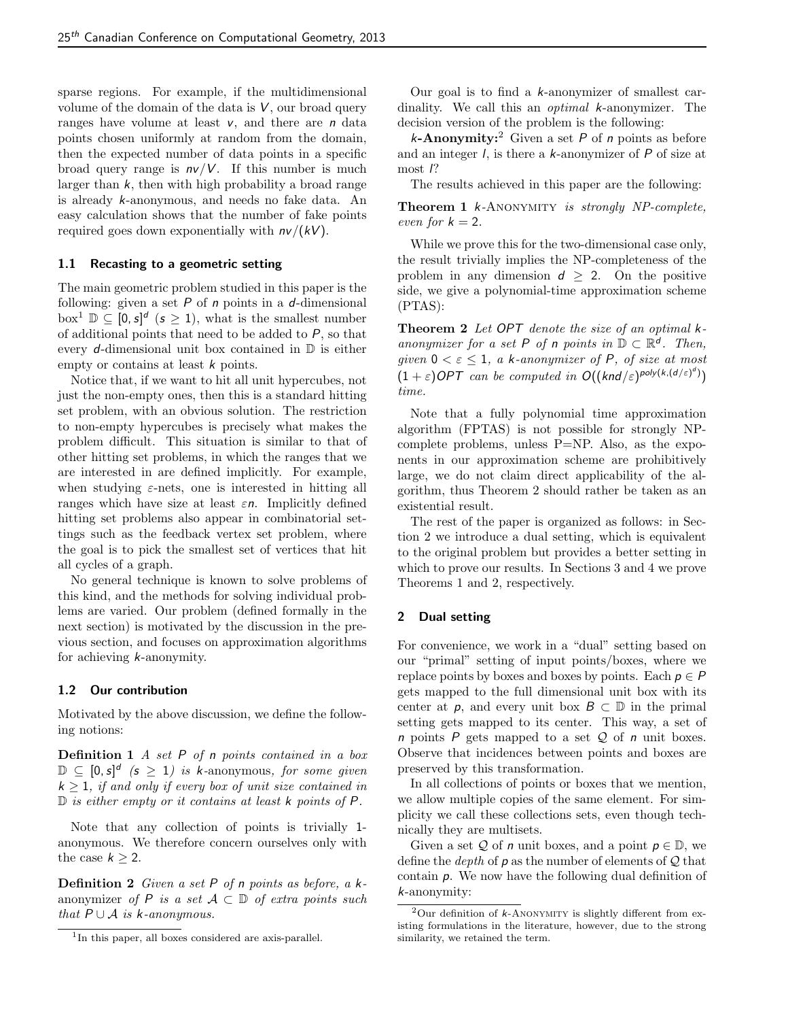sparse regions. For example, if the multidimensional volume of the domain of the data is  $V$ , our broad query ranges have volume at least  $v$ , and there are  $n$  data points chosen uniformly at random from the domain, then the expected number of data points in a specific broad query range is  $n\nu/V$ . If this number is much larger than  $k$ , then with high probability a broad range is already k-anonymous, and needs no fake data. An easy calculation shows that the number of fake points required goes down exponentially with  $n\nu/(kV)$ .

#### 1.1 Recasting to a geometric setting

The main geometric problem studied in this paper is the following: given a set  $P$  of  $n$  points in a  $d$ -dimensional box<sup>1</sup>  $\mathbb{D} \subseteq [0, s]^d$  ( $s \ge 1$ ), what is the smallest number of additional points that need to be added to  $P$ , so that every d-dimensional unit box contained in  $\mathbb D$  is either empty or contains at least k points.

Notice that, if we want to hit all unit hypercubes, not just the non-empty ones, then this is a standard hitting set problem, with an obvious solution. The restriction to non-empty hypercubes is precisely what makes the problem difficult. This situation is similar to that of other hitting set problems, in which the ranges that we are interested in are defined implicitly. For example, when studying  $\varepsilon$ -nets, one is interested in hitting all ranges which have size at least  $\varepsilon n$ . Implicitly defined hitting set problems also appear in combinatorial settings such as the feedback vertex set problem, where the goal is to pick the smallest set of vertices that hit all cycles of a graph.

No general technique is known to solve problems of this kind, and the methods for solving individual problems are varied. Our problem (defined formally in the next section) is motivated by the discussion in the previous section, and focuses on approximation algorithms for achieving k-anonymity.

# 1.2 Our contribution

Motivated by the above discussion, we define the following notions:

**Definition 1** A set  $P$  of n points contained in a box  $\mathbb{D} \subseteq [0, s]^d$  ( $s \geq 1$ ) is k-anonymous, for some given  $k \geq 1$ , if and only if every box of unit size contained in  $\mathbb D$  is either empty or it contains at least k points of  $P$ .

Note that any collection of points is trivially 1 anonymous. We therefore concern ourselves only with the case  $k \geq 2$ .

**Definition 2** Given a set  $P$  of n points as before, a  $k$ anonymizer of P is a set  $A \subset \mathbb{D}$  of extra points such that  $P \cup A$  is k-anonymous.

Our goal is to find a k-anonymizer of smallest cardinality. We call this an optimal k-anonymizer. The decision version of the problem is the following:

**k-Anonymity:**<sup>2</sup> Given a set P of n points as before and an integer  $\ell$ , is there a  $k$ -anonymizer of  $P$  of size at most l?

The results achieved in this paper are the following:

Theorem 1 k-ANONYMITY is strongly NP-complete, even for  $k = 2$ .

While we prove this for the two-dimensional case only, the result trivially implies the NP-completeness of the problem in any dimension  $d \geq 2$ . On the positive side, we give a polynomial-time approximation scheme (PTAS):

Theorem 2 Let OPT denote the size of an optimal  $k$ anonymizer for a set P of n points in  $\mathbb{D} \subset \mathbb{R}^d$ . Then, given  $0 < \varepsilon \leq 1$ , a k-anonymizer of P, of size at most  $(1+\varepsilon)$ OPT can be computed in  $O((\text{knd}/\varepsilon)^{\text{poly}(\kappa, (d/\varepsilon)^d)})$ time.

Note that a fully polynomial time approximation algorithm (FPTAS) is not possible for strongly NPcomplete problems, unless P=NP. Also, as the exponents in our approximation scheme are prohibitively large, we do not claim direct applicability of the algorithm, thus Theorem 2 should rather be taken as an existential result.

The rest of the paper is organized as follows: in Section 2 we introduce a dual setting, which is equivalent to the original problem but provides a better setting in which to prove our results. In Sections 3 and 4 we prove Theorems 1 and 2, respectively.

# 2 Dual setting

For convenience, we work in a "dual" setting based on our "primal" setting of input points/boxes, where we replace points by boxes and boxes by points. Each  $p \in P$ gets mapped to the full dimensional unit box with its center at  $p$ , and every unit box  $B \subset \mathbb{D}$  in the primal setting gets mapped to its center. This way, a set of  $n$  points  $P$  gets mapped to a set  $Q$  of  $n$  unit boxes. Observe that incidences between points and boxes are preserved by this transformation.

In all collections of points or boxes that we mention, we allow multiple copies of the same element. For simplicity we call these collections sets, even though technically they are multisets.

Given a set Q of n unit boxes, and a point  $p \in \mathbb{D}$ , we define the *depth* of  $p$  as the number of elements of  $Q$  that contain p. We now have the following dual definition of k-anonymity:

<sup>1</sup> In this paper, all boxes considered are axis-parallel.

 $2$ Our definition of  $k$ -ANONYMITY is slightly different from existing formulations in the literature, however, due to the strong similarity, we retained the term.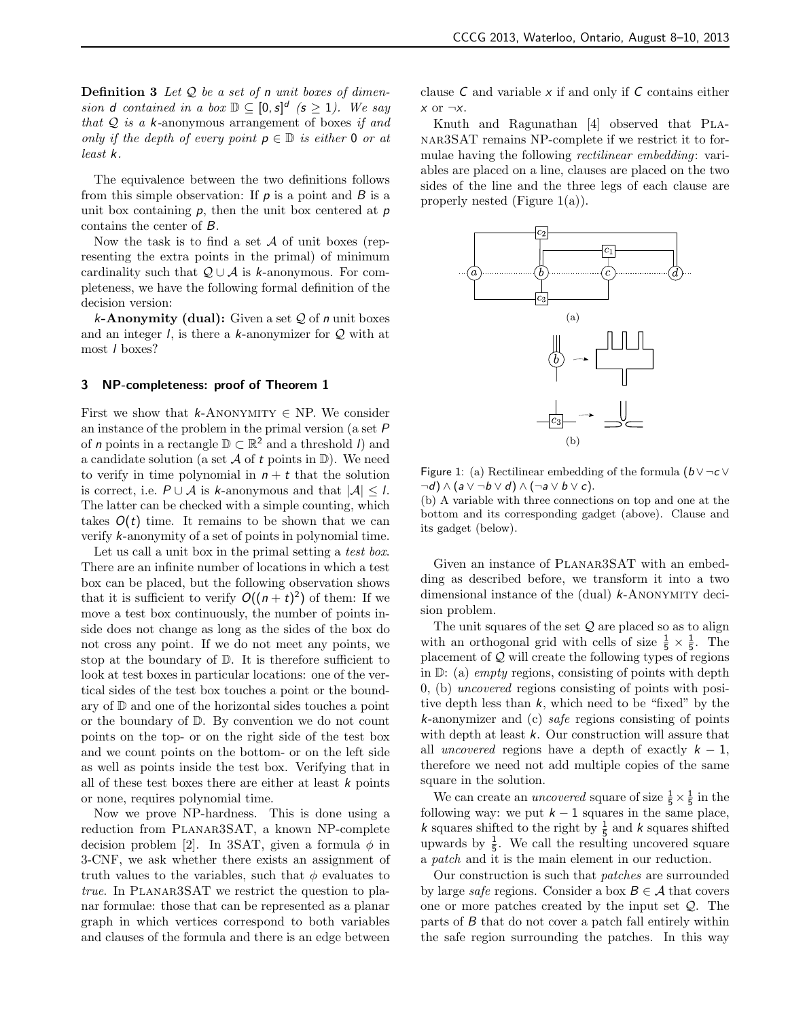**Definition 3** Let  $Q$  be a set of n unit boxes of dimension d contained in a box  $\mathbb{D} \subseteq [0, s]^d$  ( $s \geq 1$ ). We say that  $Q$  is a k-anonymous arrangement of boxes if and only if the depth of every point  $p \in \mathbb{D}$  is either 0 or at least k.

The equivalence between the two definitions follows from this simple observation: If  $p$  is a point and  $B$  is a unit box containing  $p$ , then the unit box centered at  $p$ contains the center of B.

Now the task is to find a set  $A$  of unit boxes (representing the extra points in the primal) of minimum cardinality such that  $\mathcal{Q} \cup \mathcal{A}$  is k-anonymous. For completeness, we have the following formal definition of the decision version:

 $k$ -Anonymity (dual): Given a set  $Q$  of n unit boxes and an integer  $l$ , is there a  $k$ -anonymizer for  $Q$  with at most l boxes?

#### 3 NP-completeness: proof of Theorem 1

First we show that k-ANONYMITY  $\in$  NP. We consider an instance of the problem in the primal version (a set P of *n* points in a rectangle  $\mathbb{D} \subset \mathbb{R}^2$  and a threshold *l*) and a candidate solution (a set  $A$  of t points in  $D$ ). We need to verify in time polynomial in  $n + t$  that the solution is correct, i.e.  $P \cup A$  is k-anonymous and that  $|A| \leq l$ . The latter can be checked with a simple counting, which takes  $O(t)$  time. It remains to be shown that we can verify k-anonymity of a set of points in polynomial time.

Let us call a unit box in the primal setting a test box. There are an infinite number of locations in which a test box can be placed, but the following observation shows that it is sufficient to verify  $O((n + t)^2)$  of them: If we move a test box continuously, the number of points inside does not change as long as the sides of the box do not cross any point. If we do not meet any points, we stop at the boundary of D. It is therefore sufficient to look at test boxes in particular locations: one of the vertical sides of the test box touches a point or the boundary of D and one of the horizontal sides touches a point or the boundary of D. By convention we do not count points on the top- or on the right side of the test box and we count points on the bottom- or on the left side as well as points inside the test box. Verifying that in all of these test boxes there are either at least  $k$  points or none, requires polynomial time.

Now we prove NP-hardness. This is done using a reduction from Planar3SAT, a known NP-complete decision problem [2]. In 3SAT, given a formula  $\phi$  in 3-CNF, we ask whether there exists an assignment of truth values to the variables, such that  $\phi$  evaluates to  $true.$  In PLANAR3SAT we restrict the question to planar formulae: those that can be represented as a planar graph in which vertices correspond to both variables and clauses of the formula and there is an edge between clause  $C$  and variable  $x$  if and only if  $C$  contains either  $x$  or  $\neg x$ .

Knuth and Ragunathan [4] observed that PLAnar3SAT remains NP-complete if we restrict it to formulae having the following rectilinear embedding: variables are placed on a line, clauses are placed on the two sides of the line and the three legs of each clause are properly nested (Figure 1(a)).



Figure 1: (a) Rectilinear embedding of the formula  $(b \vee \neg c \vee$  $\neg d) \wedge (a \vee \neg b \vee d) \wedge (\neg a \vee b \vee c).$ 

(b) A variable with three connections on top and one at the bottom and its corresponding gadget (above). Clause and its gadget (below).

Given an instance of PLANAR3SAT with an embedding as described before, we transform it into a two dimensional instance of the  $(du)$   $k$ -ANONYMITY decision problem.

The unit squares of the set  $Q$  are placed so as to align with an orthogonal grid with cells of size  $\frac{1}{5} \times \frac{1}{5}$ . The placement of Q will create the following types of regions in  $\mathbb{D}$ : (a) *empty* regions, consisting of points with depth 0, (b) uncovered regions consisting of points with positive depth less than k, which need to be "fixed" by the k-anonymizer and (c) safe regions consisting of points with depth at least  $k$ . Our construction will assure that all uncovered regions have a depth of exactly  $k - 1$ , therefore we need not add multiple copies of the same square in the solution.

We can create an *uncovered* square of size  $\frac{1}{5} \times \frac{1}{5}$  in the following way: we put  $k - 1$  squares in the same place, k squares shifted to the right by  $\frac{1}{5}$  and k squares shifted upwards by  $\frac{1}{5}$ . We call the resulting uncovered square a patch and it is the main element in our reduction.

Our construction is such that patches are surrounded by large *safe* regions. Consider a box  $B \in \mathcal{A}$  that covers one or more patches created by the input set  $\mathcal{Q}$ . The parts of B that do not cover a patch fall entirely within the safe region surrounding the patches. In this way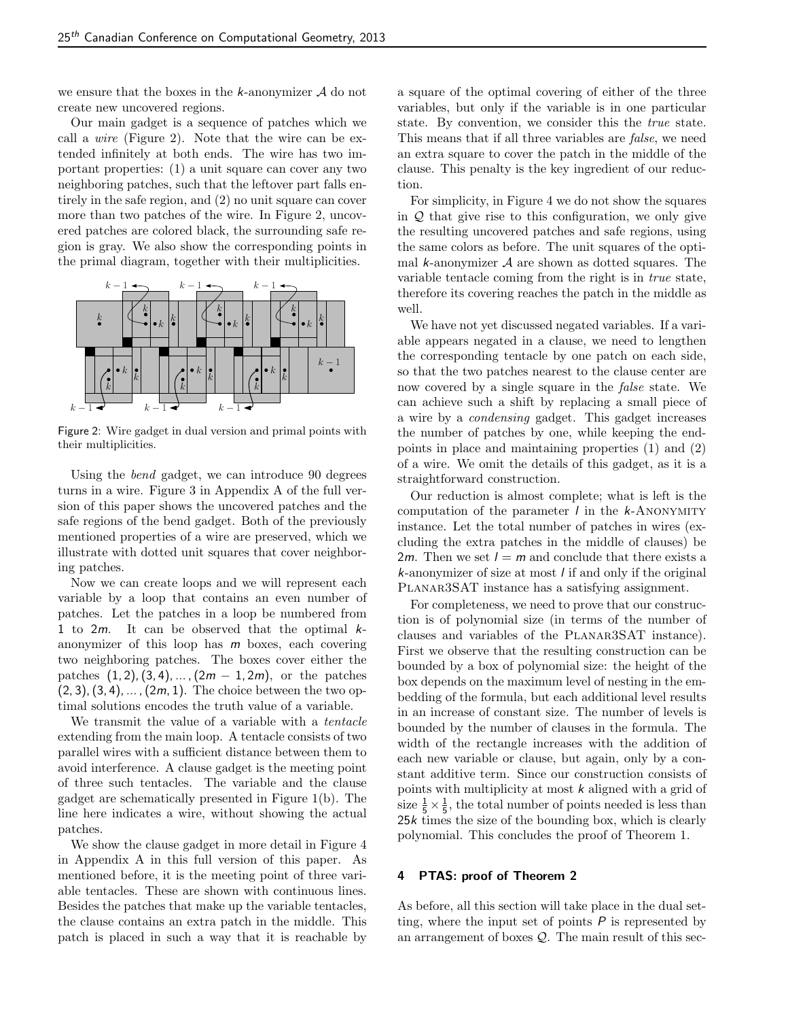we ensure that the boxes in the  $k$ -anonymizer  $A$  do not create new uncovered regions.

Our main gadget is a sequence of patches which we call a wire (Figure 2). Note that the wire can be extended infinitely at both ends. The wire has two important properties: (1) a unit square can cover any two neighboring patches, such that the leftover part falls entirely in the safe region, and (2) no unit square can cover more than two patches of the wire. In Figure 2, uncovered patches are colored black, the surrounding safe region is gray. We also show the corresponding points in the primal diagram, together with their multiplicities.



Figure 2: Wire gadget in dual version and primal points with their multiplicities.

Using the bend gadget, we can introduce 90 degrees turns in a wire. Figure 3 in Appendix A of the full version of this paper shows the uncovered patches and the safe regions of the bend gadget. Both of the previously mentioned properties of a wire are preserved, which we illustrate with dotted unit squares that cover neighboring patches.

Now we can create loops and we will represent each variable by a loop that contains an even number of patches. Let the patches in a loop be numbered from 1 to  $2m$ . It can be observed that the optimal  $k$ anonymizer of this loop has  $m$  boxes, each covering two neighboring patches. The boxes cover either the patches  $(1, 2), (3, 4), \ldots, (2m - 1, 2m)$ , or the patches  $(2, 3), (3, 4), \ldots, (2m, 1).$  The choice between the two optimal solutions encodes the truth value of a variable.

We transmit the value of a variable with a tentacle extending from the main loop. A tentacle consists of two parallel wires with a sufficient distance between them to avoid interference. A clause gadget is the meeting point of three such tentacles. The variable and the clause gadget are schematically presented in Figure 1(b). The line here indicates a wire, without showing the actual patches.

We show the clause gadget in more detail in Figure 4 in Appendix A in this full version of this paper. As mentioned before, it is the meeting point of three variable tentacles. These are shown with continuous lines. Besides the patches that make up the variable tentacles, the clause contains an extra patch in the middle. This patch is placed in such a way that it is reachable by a square of the optimal covering of either of the three variables, but only if the variable is in one particular state. By convention, we consider this the true state. This means that if all three variables are false, we need an extra square to cover the patch in the middle of the clause. This penalty is the key ingredient of our reduction.

For simplicity, in Figure 4 we do not show the squares in  $\mathcal Q$  that give rise to this configuration, we only give the resulting uncovered patches and safe regions, using the same colors as before. The unit squares of the optimal  $k$ -anonymizer  $A$  are shown as dotted squares. The variable tentacle coming from the right is in true state, therefore its covering reaches the patch in the middle as well.

We have not yet discussed negated variables. If a variable appears negated in a clause, we need to lengthen the corresponding tentacle by one patch on each side, so that the two patches nearest to the clause center are now covered by a single square in the false state. We can achieve such a shift by replacing a small piece of a wire by a condensing gadget. This gadget increases the number of patches by one, while keeping the endpoints in place and maintaining properties (1) and (2) of a wire. We omit the details of this gadget, as it is a straightforward construction.

Our reduction is almost complete; what is left is the computation of the parameter  $\ell$  in the  $k$ -ANONYMITY instance. Let the total number of patches in wires (excluding the extra patches in the middle of clauses) be 2*m*. Then we set  $l = m$  and conclude that there exists a  $k$ -anonymizer of size at most  $l$  if and only if the original PLANAR3SAT instance has a satisfying assignment.

For completeness, we need to prove that our construction is of polynomial size (in terms of the number of clauses and variables of the Planar3SAT instance). First we observe that the resulting construction can be bounded by a box of polynomial size: the height of the box depends on the maximum level of nesting in the embedding of the formula, but each additional level results in an increase of constant size. The number of levels is bounded by the number of clauses in the formula. The width of the rectangle increases with the addition of each new variable or clause, but again, only by a constant additive term. Since our construction consists of points with multiplicity at most k aligned with a grid of size  $\frac{1}{5} \times \frac{1}{5}$ , the total number of points needed is less than  $25k$  times the size of the bounding box, which is clearly polynomial. This concludes the proof of Theorem 1.

#### 4 PTAS: proof of Theorem 2

As before, all this section will take place in the dual setting, where the input set of points  $P$  is represented by an arrangement of boxes  $Q$ . The main result of this sec-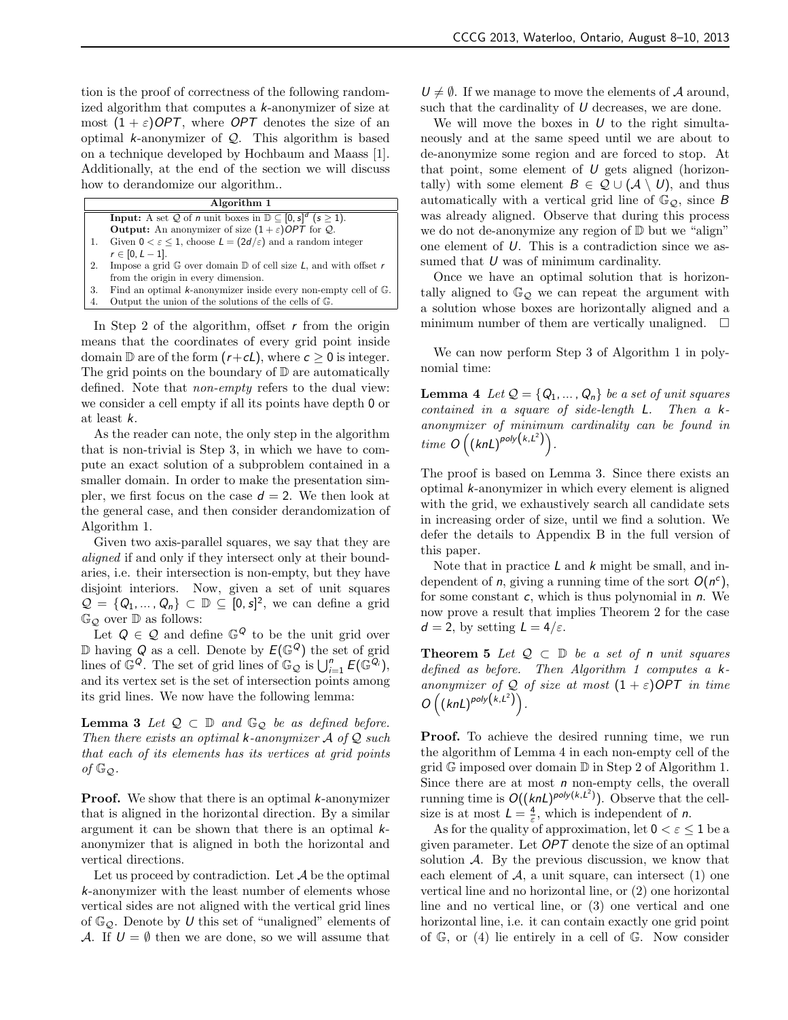tion is the proof of correctness of the following randomized algorithm that computes a k-anonymizer of size at most  $(1 + \varepsilon)$ OPT, where OPT denotes the size of an optimal k-anonymizer of  $Q$ . This algorithm is based on a technique developed by Hochbaum and Maass [1]. Additionally, at the end of the section we will discuss how to derandomize our algorithm..

|    | Algorithm 1                                                                                    |  |
|----|------------------------------------------------------------------------------------------------|--|
|    | <b>Input:</b> A set Q of <i>n</i> unit boxes in $\mathbb{D} \subseteq [0, s]^d$ ( $s \ge 1$ ). |  |
|    | <b>Output:</b> An anonymizer of size $(1+\varepsilon)$ OPT for Q.                              |  |
|    | Given $0 < \varepsilon < 1$ , choose $L = (2d/\varepsilon)$ and a random integer               |  |
|    | $r \in [0, L-1].$                                                                              |  |
| 2. | Impose a grid $\mathbb{G}$ over domain $\mathbb{D}$ of cell size L, and with offset r          |  |
|    | from the origin in every dimension.                                                            |  |
| 3. | Find an optimal $k$ -anonymizer inside every non-empty cell of $\mathbb{G}$ .                  |  |
|    | Output the union of the solutions of the cells of $\mathbb{G}$ .                               |  |

In Step 2 of the algorithm, offset  $r$  from the origin means that the coordinates of every grid point inside domain  $\mathbb D$  are of the form  $(r+\mathsf{c}L)$ , where  $\mathsf{c} > 0$  is integer. The grid points on the boundary of  $\mathbb D$  are automatically defined. Note that non-empty refers to the dual view: we consider a cell empty if all its points have depth 0 or at least k.

As the reader can note, the only step in the algorithm that is non-trivial is Step 3, in which we have to compute an exact solution of a subproblem contained in a smaller domain. In order to make the presentation simpler, we first focus on the case  $d = 2$ . We then look at the general case, and then consider derandomization of Algorithm 1.

Given two axis-parallel squares, we say that they are aligned if and only if they intersect only at their boundaries, i.e. their intersection is non-empty, but they have disjoint interiors. Now, given a set of unit squares  $\mathcal{Q} = \{Q_1, \ldots, Q_n\} \subset \mathbb{D} \subseteq [0, s]^2$ , we can define a grid  $\mathbb{G}_{\mathcal{O}}$  over  $\mathbb{D}$  as follows:

Let  $Q \in \mathcal{Q}$  and define  $\mathbb{G}^Q$  to be the unit grid over  $\mathbb D$  having Q as a cell. Denote by  $E(\mathbb{G}^Q)$  the set of grid lines of  $\mathbb{G}^Q$ . The set of grid lines of  $\mathbb{G}_{\mathcal{Q}}$  is  $\bigcup_{i=1}^n E(\mathbb{G}^{Q_i})$ , and its vertex set is the set of intersection points among its grid lines. We now have the following lemma:

**Lemma 3** Let  $\mathcal{Q} \subset \mathbb{D}$  and  $\mathbb{G}_{\mathcal{Q}}$  be as defined before. Then there exists an optimal  $k$ -anonymizer  $A$  of  $Q$  such that each of its elements has its vertices at grid points of  $\mathbb{G}_{\mathcal{O}}$ .

**Proof.** We show that there is an optimal k-anonymizer that is aligned in the horizontal direction. By a similar argument it can be shown that there is an optimal  $k$ anonymizer that is aligned in both the horizontal and vertical directions.

Let us proceed by contradiction. Let  $A$  be the optimal k-anonymizer with the least number of elements whose vertical sides are not aligned with the vertical grid lines of  $\mathbb{G}_{\mathcal{O}}$ . Denote by U this set of "unaligned" elements of A. If  $U = \emptyset$  then we are done, so we will assume that

 $U \neq \emptyset$ . If we manage to move the elements of A around, such that the cardinality of  $U$  decreases, we are done.

We will move the boxes in  $U$  to the right simultaneously and at the same speed until we are about to de-anonymize some region and are forced to stop. At that point, some element of  $U$  gets aligned (horizontally) with some element  $B \in \mathcal{Q} \cup (\mathcal{A} \setminus U)$ , and thus automatically with a vertical grid line of  $\mathbb{G}_{\mathcal{O}}$ , since B was already aligned. Observe that during this process we do not de-anonymize any region of  $\mathbb D$  but we "align" one element of U. This is a contradiction since we assumed that  $U$  was of minimum cardinality.

Once we have an optimal solution that is horizontally aligned to  $\mathbb{G}_{\mathcal{O}}$  we can repeat the argument with a solution whose boxes are horizontally aligned and a minimum number of them are vertically unaligned.  $\square$ 

We can now perform Step 3 of Algorithm 1 in polynomial time:

**Lemma 4** Let  $Q = \{Q_1, \ldots, Q_n\}$  be a set of unit squares contained in a square of side-length L. Then a kanonymizer of minimum cardinality can be found in time  $O((knL)^{poly(k,L^2)})$ .

The proof is based on Lemma 3. Since there exists an optimal k-anonymizer in which every element is aligned with the grid, we exhaustively search all candidate sets in increasing order of size, until we find a solution. We defer the details to Appendix B in the full version of this paper.

Note that in practice  $L$  and  $k$  might be small, and independent of *n*, giving a running time of the sort  $O(n^c)$ , for some constant  $c$ , which is thus polynomial in  $n$ . We now prove a result that implies Theorem 2 for the case  $d = 2$ , by setting  $L = 4/\varepsilon$ .

**Theorem 5** Let  $Q \subset \mathbb{D}$  be a set of n unit squares defined as before. Then Algorithm 1 computes a kanonymizer of Q of size at most  $(1 + \varepsilon)$ OPT in time  $O((knL)^{poly(k,L^2)}).$ 

**Proof.** To achieve the desired running time, we run the algorithm of Lemma 4 in each non-empty cell of the grid G imposed over domain D in Step 2 of Algorithm 1. Since there are at most  $n$  non-empty cells, the overall running time is  $O((knL)^{poly(k,L^2)})$ . Observe that the cellsize is at most  $L = \frac{4}{\varepsilon}$ , which is independent of *n*.

As for the quality of approximation, let  $0 < \varepsilon \leq 1$  be a given parameter. Let OPT denote the size of an optimal solution  $A$ . By the previous discussion, we know that each element of  $A$ , a unit square, can intersect (1) one vertical line and no horizontal line, or (2) one horizontal line and no vertical line, or (3) one vertical and one horizontal line, i.e. it can contain exactly one grid point of  $\mathbb{G}$ , or (4) lie entirely in a cell of  $\mathbb{G}$ . Now consider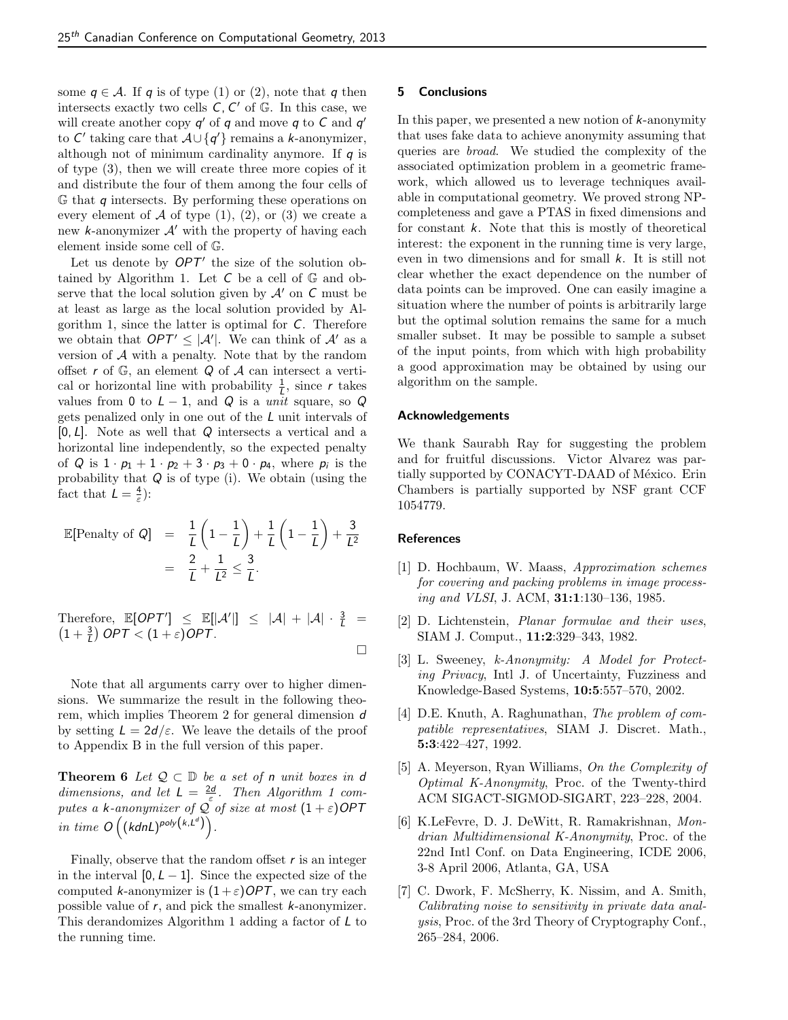some  $q \in \mathcal{A}$ . If q is of type (1) or (2), note that q then intersects exactly two cells  $C, C'$  of  $\mathbb{G}$ . In this case, we will create another copy  $q'$  of q and move q to C and  $q'$ to  $C'$  taking care that  $A \cup \{q'\}$  remains a k-anonymizer, although not of minimum cardinality anymore. If  $q$  is of type (3), then we will create three more copies of it and distribute the four of them among the four cells of  $\mathbb G$  that  $q$  intersects. By performing these operations on every element of  $A$  of type  $(1)$ ,  $(2)$ , or  $(3)$  we create a new k-anonymizer  $A'$  with the property of having each element inside some cell of G.

Let us denote by  $OPT'$  the size of the solution obtained by Algorithm 1. Let  $C$  be a cell of  $\mathbb{G}$  and observe that the local solution given by  $\mathcal{A}'$  on C must be at least as large as the local solution provided by Algorithm 1, since the latter is optimal for  $C$ . Therefore we obtain that  $OPT' \leq |\mathcal{A}'|$ . We can think of  $\mathcal{A}'$  as a version of  $A$  with a penalty. Note that by the random offset r of  $\mathbb{G}$ , an element  $Q$  of  $A$  can intersect a vertical or horizontal line with probability  $\frac{1}{L}$ , since r takes values from 0 to  $L - 1$ , and Q is a *unit* square, so Q gets penalized only in one out of the L unit intervals of  $[0, L]$ . Note as well that  $Q$  intersects a vertical and a horizontal line independently, so the expected penalty of Q is  $1 \cdot p_1 + 1 \cdot p_2 + 3 \cdot p_3 + 0 \cdot p_4$ , where  $p_i$  is the probability that  $Q$  is of type (i). We obtain (using the fact that  $L = \frac{4}{\varepsilon}$ :

$$
\mathbb{E}[\text{Penalty of } Q] = \frac{1}{L} \left( 1 - \frac{1}{L} \right) + \frac{1}{L} \left( 1 - \frac{1}{L} \right) + \frac{3}{L^2}
$$

$$
= \frac{2}{L} + \frac{1}{L^2} \le \frac{3}{L}.
$$

Therefore,  $\mathbb{E}[OPT'] \leq \mathbb{E}[|\mathcal{A}'|] \leq |\mathcal{A}| + |\mathcal{A}| \cdot \frac{3}{L} = (1 + \frac{3}{L}) \text{OPT} < (1 + \varepsilon) \text{OPT}.$  $\Box$ 

Note that all arguments carry over to higher dimensions. We summarize the result in the following theorem, which implies Theorem 2 for general dimension d by setting  $L = 2d/\varepsilon$ . We leave the details of the proof to Appendix B in the full version of this paper.

**Theorem 6** Let  $Q \subset \mathbb{D}$  be a set of n unit boxes in d dimensions, and let  $L = \frac{2d}{s}$ . Then Algorithm 1 computes a k-anonymizer of  $\overline{Q}$  of size at most  $(1 + \varepsilon)$ OPT in time  $O((\text{kdnL})^{\text{poly}(k, L^d)}).$ 

Finally, observe that the random offset  $r$  is an integer in the interval  $[0, L - 1]$ . Since the expected size of the computed k-anonymizer is  $(1+\varepsilon)$ OPT, we can try each possible value of r, and pick the smallest k-anonymizer. This derandomizes Algorithm 1 adding a factor of  *to* the running time.

# 5 Conclusions

In this paper, we presented a new notion of  $k$ -anonymity that uses fake data to achieve anonymity assuming that queries are broad. We studied the complexity of the associated optimization problem in a geometric framework, which allowed us to leverage techniques available in computational geometry. We proved strong NPcompleteness and gave a PTAS in fixed dimensions and for constant  $k$ . Note that this is mostly of theoretical interest: the exponent in the running time is very large, even in two dimensions and for small k. It is still not clear whether the exact dependence on the number of data points can be improved. One can easily imagine a situation where the number of points is arbitrarily large but the optimal solution remains the same for a much smaller subset. It may be possible to sample a subset of the input points, from which with high probability a good approximation may be obtained by using our algorithm on the sample.

# Acknowledgements

We thank Saurabh Ray for suggesting the problem and for fruitful discussions. Victor Alvarez was partially supported by CONACYT-DAAD of México. Erin Chambers is partially supported by NSF grant CCF 1054779.

# **References**

- [1] D. Hochbaum, W. Maass, Approximation schemes for covering and packing problems in image processing and VLSI, J. ACM, 31:1:130–136, 1985.
- [2] D. Lichtenstein, Planar formulae and their uses, SIAM J. Comput., 11:2:329–343, 1982.
- [3] L. Sweeney, k-Anonymity: A Model for Protecting Privacy, Intl J. of Uncertainty, Fuzziness and Knowledge-Based Systems, 10:5:557–570, 2002.
- [4] D.E. Knuth, A. Raghunathan, *The problem of com*patible representatives, SIAM J. Discret. Math., 5:3:422–427, 1992.
- [5] A. Meyerson, Ryan Williams, On the Complexity of Optimal K-Anonymity, Proc. of the Twenty-third ACM SIGACT-SIGMOD-SIGART, 223–228, 2004.
- [6] K.LeFevre, D. J. DeWitt, R. Ramakrishnan, Mondrian Multidimensional K-Anonymity, Proc. of the 22nd Intl Conf. on Data Engineering, ICDE 2006, 3-8 April 2006, Atlanta, GA, USA
- [7] C. Dwork, F. McSherry, K. Nissim, and A. Smith, Calibrating noise to sensitivity in private data analysis, Proc. of the 3rd Theory of Cryptography Conf., 265–284, 2006.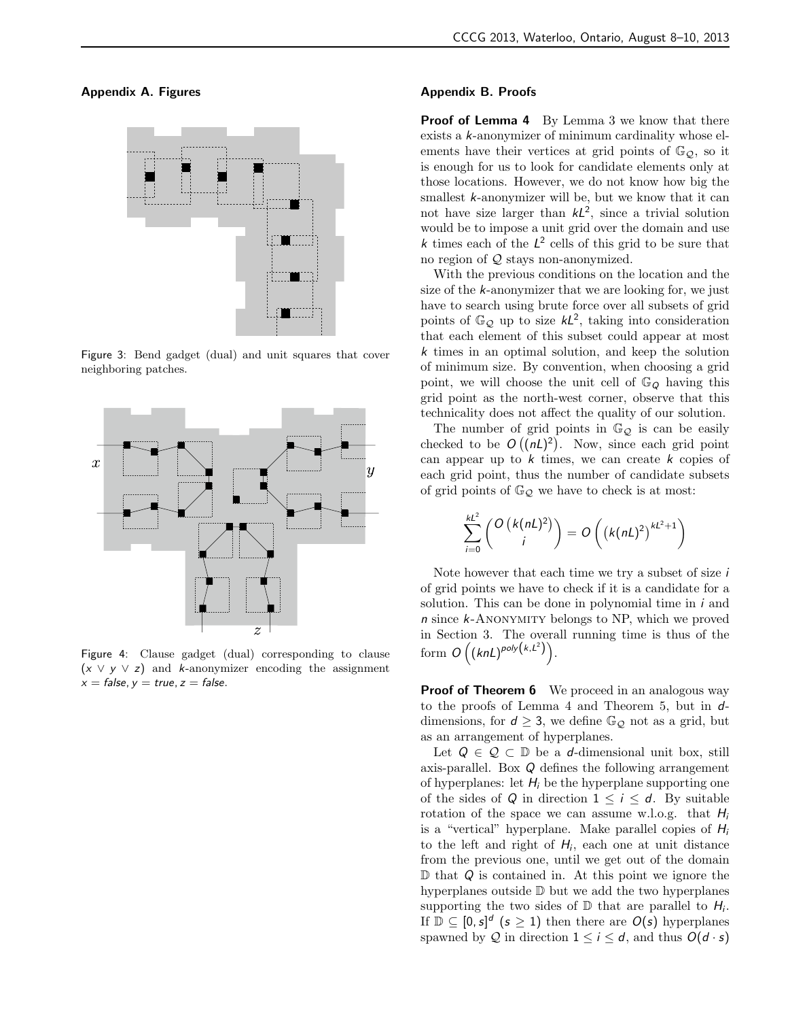Appendix A. Figures



Figure 3: Bend gadget (dual) and unit squares that cover neighboring patches.



Figure 4: Clause gadget (dual) corresponding to clause  $(x \vee y \vee z)$  and k-anonymizer encoding the assignment  $x = false$ ,  $y = true$ ,  $z = false$ .

# Appendix B. Proofs

Proof of Lemma 4 By Lemma 3 we know that there exists a k-anonymizer of minimum cardinality whose elements have their vertices at grid points of  $\mathbb{G}_{\mathcal{Q}}$ , so it is enough for us to look for candidate elements only at those locations. However, we do not know how big the smallest  $k$ -anonymizer will be, but we know that it can not have size larger than  $kL^2$ , since a trivial solution would be to impose a unit grid over the domain and use k times each of the  $L^2$  cells of this grid to be sure that no region of  $Q$  stays non-anonymized.

With the previous conditions on the location and the size of the k-anonymizer that we are looking for, we just have to search using brute force over all subsets of grid points of  $\mathbb{G}_{\mathcal{Q}}$  up to size  $k\mathcal{L}^2$ , taking into consideration that each element of this subset could appear at most k times in an optimal solution, and keep the solution of minimum size. By convention, when choosing a grid point, we will choose the unit cell of  $\mathbb{G}_{Q}$  having this grid point as the north-west corner, observe that this technicality does not affect the quality of our solution.

The number of grid points in  $\mathbb{G}_{\mathcal{Q}}$  is can be easily checked to be  $O((nL)^2)$ . Now, since each grid point can appear up to  $k$  times, we can create  $k$  copies of each grid point, thus the number of candidate subsets of grid points of  $\mathbb{G}_{\mathcal{Q}}$  we have to check is at most:

$$
\sum_{i=0}^{kL^2} \binom{O(k(nL)^2)}{i} = O\left((k(nL)^2)^{kL^2+1}\right)
$$

Note however that each time we try a subset of size i of grid points we have to check if it is a candidate for a solution. This can be done in polynomial time in  $i$  and n since k-Anonymity belongs to NP, which we proved in Section 3. The overall running time is thus of the form  $O((knL)^{poly(k,L^2)})$ .

**Proof of Theorem 6** We proceed in an analogous way to the proofs of Lemma 4 and Theorem 5, but in  $d$ dimensions, for  $d \geq 3$ , we define  $\mathbb{G}_{\mathcal{Q}}$  not as a grid, but as an arrangement of hyperplanes.

Let  $Q \in \mathcal{Q} \subset \mathbb{D}$  be a d-dimensional unit box, still axis-parallel. Box Q defines the following arrangement of hyperplanes: let  $H_i$  be the hyperplane supporting one of the sides of Q in direction  $1 \leq i \leq d$ . By suitable rotation of the space we can assume w.l.o.g. that  $H_i$ is a "vertical" hyperplane. Make parallel copies of  $H_i$ to the left and right of  $H_i$ , each one at unit distance from the previous one, until we get out of the domain  $\mathbb D$  that  $Q$  is contained in. At this point we ignore the hyperplanes outside D but we add the two hyperplanes supporting the two sides of  $D$  that are parallel to  $H_i$ . If  $\mathbb{D} \subseteq [0, s]^d$   $(s \geq 1)$  then there are  $O(s)$  hyperplanes spawned by Q in direction  $1 \le i \le d$ , and thus  $O(d \cdot s)$